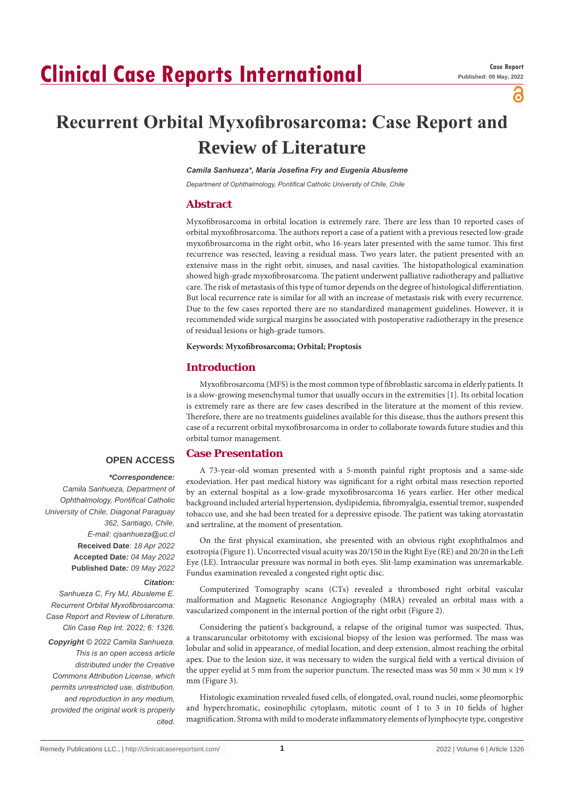# **Clinical Case Reports International**

а

## **Recurrent Orbital Myxofibrosarcoma: Case Report and Review of Literature**

*Camila Sanhueza\*, María Josefina Fry and Eugenia Abusleme*

*Department of Ophthalmology, Pontifical Catholic University of Chile, Chile*

#### **Abstract**

Myxofibrosarcoma in orbital location is extremely rare. There are less than 10 reported cases of orbital myxofibrosarcoma. The authors report a case of a patient with a previous resected low-grade myxofibrosarcoma in the right orbit, who 16-years later presented with the same tumor. This first recurrence was resected, leaving a residual mass. Two years later, the patient presented with an extensive mass in the right orbit, sinuses, and nasal cavities. The histopathological examination showed high-grade myxofibrosarcoma. The patient underwent palliative radiotherapy and palliative care. The risk of metastasis of this type of tumor depends on the degree of histological differentiation. But local recurrence rate is similar for all with an increase of metastasis risk with every recurrence. Due to the few cases reported there are no standardized management guidelines. However, it is recommended wide surgical margins be associated with postoperative radiotherapy in the presence of residual lesions or high-grade tumors.

**Keywords: Myxofibrosarcoma; Orbital; Proptosis**

#### **Introduction**

Myxofibrosarcoma (MFS) is the most common type of fibroblastic sarcoma in elderly patients. It is a slow-growing mesenchymal tumor that usually occurs in the extremities [1]. Its orbital location is extremely rare as there are few cases described in the literature at the moment of this review. Therefore, there are no treatments guidelines available for this disease, thus the authors present this case of a recurrent orbital myxofibrosarcoma in order to collaborate towards future studies and this orbital tumor management.

#### **Case Presentation**

### **OPEN ACCESS**

 *\*Correspondence: Camila Sanhueza, Department of Ophthalmology, Pontifical Catholic University of Chile, Diagonal Paraguay 362, Santiago, Chile, E-mail: cjsanhueza@uc.cl* **Received Date**: *18 Apr 2022* **Accepted Date***: 04 May 2022* **Published Date***: 09 May 2022*

#### *Citation:*

*Sanhueza C, Fry MJ, Abusleme E. Recurrent Orbital Myxofibrosarcoma: Case Report and Review of Literature. Clin Case Rep Int. 2022; 6: 1326. Copyright © 2022 Camila Sanhueza. This is an open access article distributed under the Creative Commons Attribution License, which permits unrestricted use, distribution, and reproduction in any medium, provided the original work is properly cited.*

A 73-year-old woman presented with a 5-month painful right proptosis and a same-side exodeviation. Her past medical history was significant for a right orbital mass resection reported by an external hospital as a low-grade myxofibrosarcoma 16 years earlier. Her other medical background included arterial hypertension, dyslipidemia, fibromyalgia, essential tremor, suspended tobacco use, and she had been treated for a depressive episode. The patient was taking atorvastatin and sertraline, at the moment of presentation.

On the first physical examination, she presented with an obvious right exophthalmos and exotropia (Figure 1). Uncorrected visual acuity was 20/150 in the Right Eye (RE) and 20/20 in the Left Eye (LE). Intraocular pressure was normal in both eyes. Slit-lamp examination was unremarkable. Fundus examination revealed a congested right optic disc.

Computerized Tomography scans (CTs) revealed a thrombosed right orbital vascular malformation and Magnetic Resonance Angiography (MRA) revealed an orbital mass with a vascularized component in the internal portion of the right orbit (Figure 2).

Considering the patient's background, a relapse of the original tumor was suspected. Thus, a transcaruncular orbitotomy with excisional biopsy of the lesion was performed. The mass was lobular and solid in appearance, of medial location, and deep extension, almost reaching the orbital apex. Due to the lesion size, it was necessary to widen the surgical field with a vertical division of the upper eyelid at 5 mm from the superior punctum. The resected mass was 50 mm  $\times$  30 mm  $\times$  19 mm (Figure 3).

Histologic examination revealed fused cells, of elongated, oval, round nuclei, some pleomorphic and hyperchromatic, eosinophilic cytoplasm, mitotic count of 1 to 3 in 10 fields of higher magnification. Stroma with mild to moderate inflammatory elements of lymphocyte type, congestive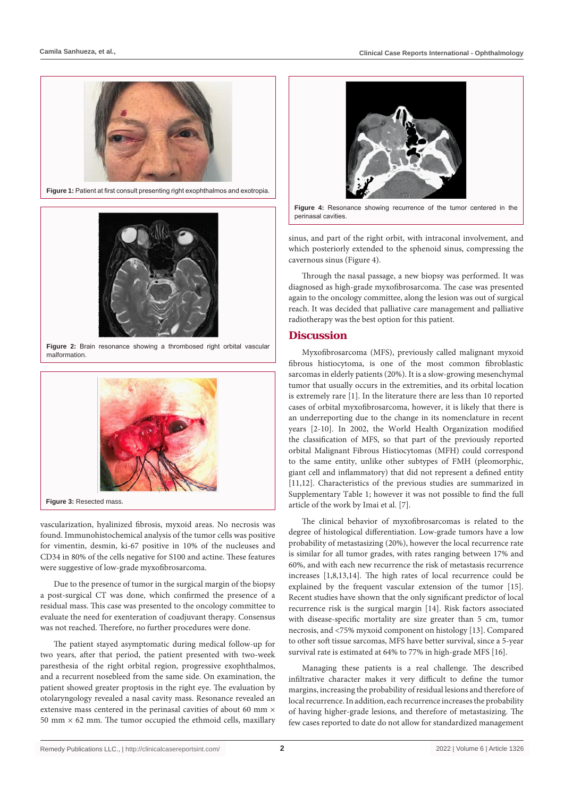



**Figure 2:** Brain resonance showing a thrombosed right orbital vascular malformation.



vascularization, hyalinized fibrosis, myxoid areas. No necrosis was found. Immunohistochemical analysis of the tumor cells was positive for vimentin, desmin, ki-67 positive in 10% of the nucleuses and CD34 in 80% of the cells negative for S100 and actine. These features were suggestive of low-grade myxofibrosarcoma.

Due to the presence of tumor in the surgical margin of the biopsy a post-surgical CT was done, which confirmed the presence of a residual mass. This case was presented to the oncology committee to evaluate the need for exenteration of coadjuvant therapy. Consensus was not reached. Therefore, no further procedures were done.

The patient stayed asymptomatic during medical follow-up for two years, after that period, the patient presented with two-week paresthesia of the right orbital region, progressive exophthalmos, and a recurrent nosebleed from the same side. On examination, the patient showed greater proptosis in the right eye. The evaluation by otolaryngology revealed a nasal cavity mass. Resonance revealed an extensive mass centered in the perinasal cavities of about 60 mm  $\times$ 50 mm  $\times$  62 mm. The tumor occupied the ethmoid cells, maxillary



**Figure 4:** Resonance showing recurrence of the tumor centered in the perinasal cavities.

sinus, and part of the right orbit, with intraconal involvement, and which posteriorly extended to the sphenoid sinus, compressing the cavernous sinus (Figure 4).

Through the nasal passage, a new biopsy was performed. It was diagnosed as high-grade myxofibrosarcoma. The case was presented again to the oncology committee, along the lesion was out of surgical reach. It was decided that palliative care management and palliative radiotherapy was the best option for this patient.

#### **Discussion**

Myxofibrosarcoma (MFS), previously called malignant myxoid fibrous histiocytoma, is one of the most common fibroblastic sarcomas in elderly patients (20%). It is a slow-growing mesenchymal tumor that usually occurs in the extremities, and its orbital location is extremely rare [1]. In the literature there are less than 10 reported cases of orbital myxofibrosarcoma, however, it is likely that there is an underreporting due to the change in its nomenclature in recent years [2-10]. In 2002, the World Health Organization modified the classification of MFS, so that part of the previously reported orbital Malignant Fibrous Histiocytomas (MFH) could correspond to the same entity, unlike other subtypes of FMH (pleomorphic, giant cell and inflammatory) that did not represent a defined entity [11,12]. Characteristics of the previous studies are summarized in Supplementary Table 1; however it was not possible to find the full article of the work by Imai et al. [7].

The clinical behavior of myxofibrosarcomas is related to the degree of histological differentiation. Low-grade tumors have a low probability of metastasizing (20%), however the local recurrence rate is similar for all tumor grades, with rates ranging between 17% and 60%, and with each new recurrence the risk of metastasis recurrence increases [1,8,13,14]. The high rates of local recurrence could be explained by the frequent vascular extension of the tumor [15]. Recent studies have shown that the only significant predictor of local recurrence risk is the surgical margin [14]. Risk factors associated with disease-specific mortality are size greater than 5 cm, tumor necrosis, and <75% myxoid component on histology [13]. Compared to other soft tissue sarcomas, MFS have better survival, since a 5-year survival rate is estimated at 64% to 77% in high-grade MFS [16].

Managing these patients is a real challenge. The described infiltrative character makes it very difficult to define the tumor margins, increasing the probability of residual lesions and therefore of local recurrence. In addition, each recurrence increases the probability of having higher-grade lesions, and therefore of metastasizing. The few cases reported to date do not allow for standardized management